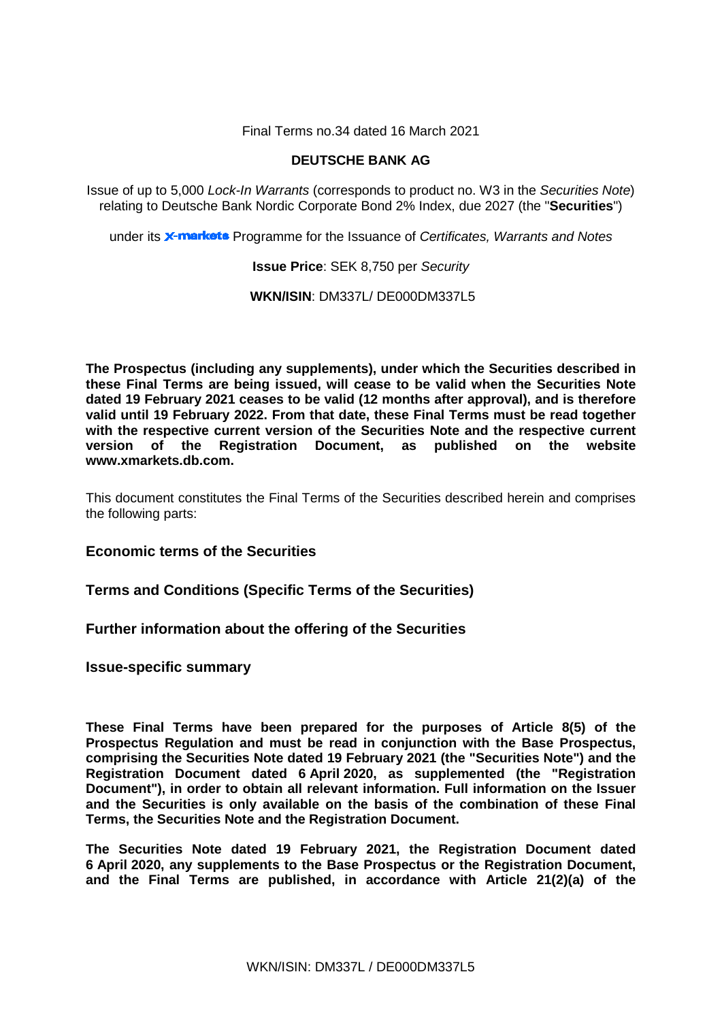Final Terms no.34 dated 16 March 2021

## **DEUTSCHE BANK AG**

Issue of up to 5,000 *Lock-In Warrants* (corresponds to product no. W3 in the *Securities Note*) relating to Deutsche Bank Nordic Corporate Bond 2% Index, due 2027 (the "**Securities**")

under its **X-markets** Programme for the Issuance of *Certificates, Warrants and Notes* 

**Issue Price**: SEK 8,750 per *Security*

**WKN/ISIN**: DM337L/ DE000DM337L5

**The Prospectus (including any supplements), under which the Securities described in these Final Terms are being issued, will cease to be valid when the Securities Note dated 19 February 2021 ceases to be valid (12 months after approval), and is therefore valid until 19 February 2022. From that date, these Final Terms must be read together with the respective current version of the Securities Note and the respective current version of the Registration Document, as published on the website www.xmarkets.db.com.**

This document constitutes the Final Terms of the Securities described herein and comprises the following parts:

**Economic terms of the Securities**

**Terms and Conditions (Specific Terms of the Securities)**

**Further information about the offering of the Securities**

**Issue-specific summary**

**These Final Terms have been prepared for the purposes of Article 8(5) of the Prospectus Regulation and must be read in conjunction with the Base Prospectus, comprising the Securities Note dated 19 February 2021 (the "Securities Note") and the Registration Document dated 6 April 2020, as supplemented (the "Registration Document"), in order to obtain all relevant information. Full information on the Issuer and the Securities is only available on the basis of the combination of these Final Terms, the Securities Note and the Registration Document.** 

**The Securities Note dated 19 February 2021, the Registration Document dated 6 April 2020, any supplements to the Base Prospectus or the Registration Document, and the Final Terms are published, in accordance with Article 21(2)(a) of the**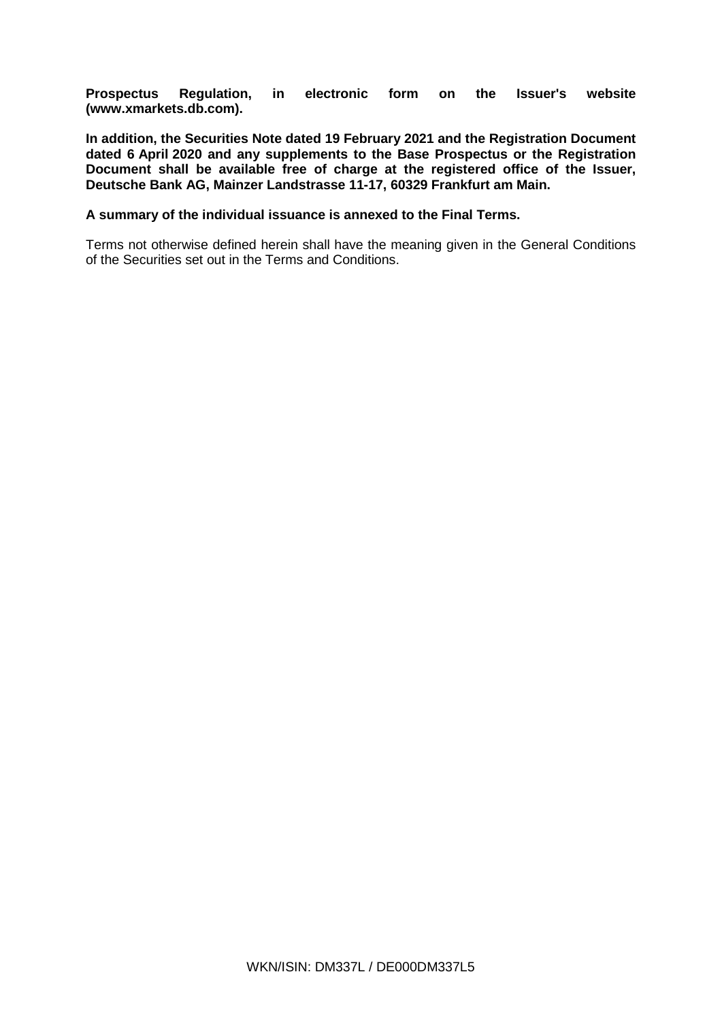**Prospectus Regulation, in electronic form on the Issuer's website [\(www.xmarkets.db.com\)](http://www.xmarkets.db.com/).**

**In addition, the Securities Note dated 19 February 2021 and the Registration Document dated 6 April 2020 and any supplements to the Base Prospectus or the Registration Document shall be available free of charge at the registered office of the Issuer, Deutsche Bank AG, Mainzer Landstrasse 11-17, 60329 Frankfurt am Main.**

## **A summary of the individual issuance is annexed to the Final Terms.**

Terms not otherwise defined herein shall have the meaning given in the General Conditions of the Securities set out in the Terms and Conditions.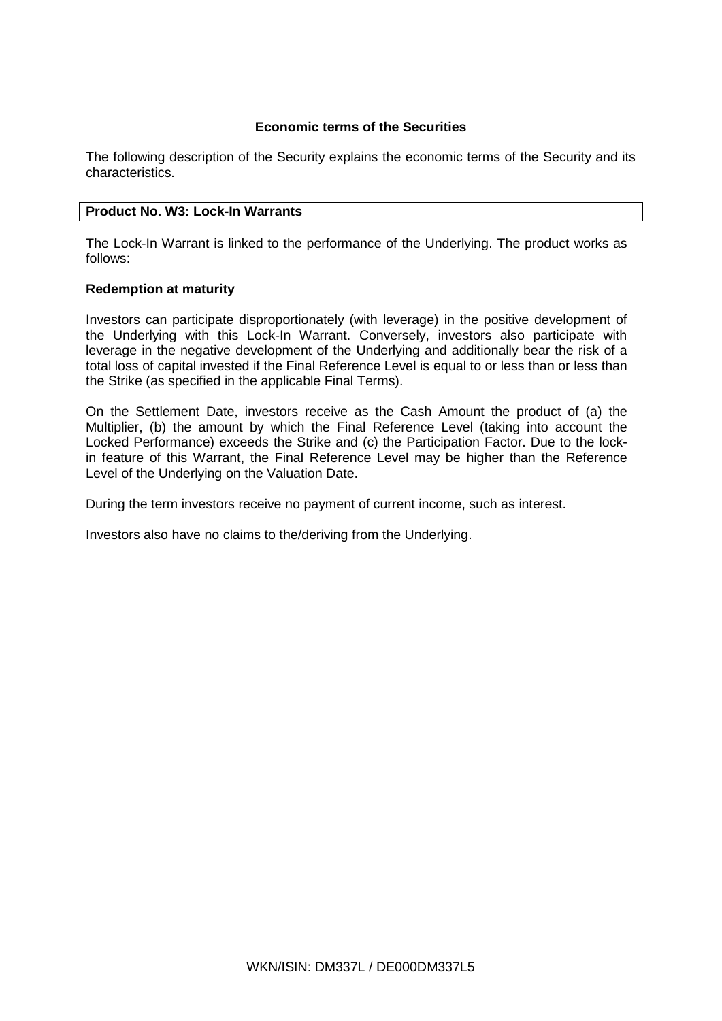## **Economic terms of the Securities**

The following description of the Security explains the economic terms of the Security and its characteristics.

## **Product No. W3: Lock-In Warrants**

The Lock-In Warrant is linked to the performance of the Underlying. The product works as follows:

## **Redemption at maturity**

Investors can participate disproportionately (with leverage) in the positive development of the Underlying with this Lock-In Warrant. Conversely, investors also participate with leverage in the negative development of the Underlying and additionally bear the risk of a total loss of capital invested if the Final Reference Level is equal to or less than or less than the Strike (as specified in the applicable Final Terms).

On the Settlement Date, investors receive as the Cash Amount the product of (a) the Multiplier, (b) the amount by which the Final Reference Level (taking into account the Locked Performance) exceeds the Strike and (c) the Participation Factor. Due to the lockin feature of this Warrant, the Final Reference Level may be higher than the Reference Level of the Underlying on the Valuation Date.

During the term investors receive no payment of current income, such as interest.

Investors also have no claims to the/deriving from the Underlying.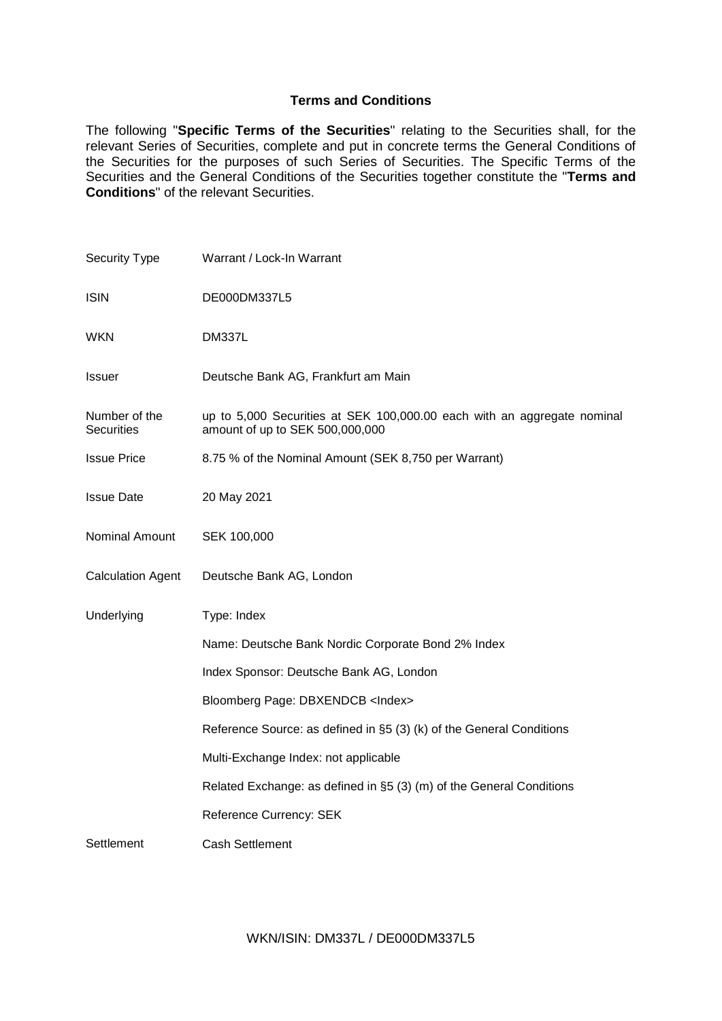## **Terms and Conditions**

The following "**Specific Terms of the Securities**" relating to the Securities shall, for the relevant Series of Securities, complete and put in concrete terms the General Conditions of the Securities for the purposes of such Series of Securities. The Specific Terms of the Securities and the General Conditions of the Securities together constitute the "**Terms and Conditions**" of the relevant Securities.

| Security Type                      | Warrant / Lock-In Warrant                                                                                  |
|------------------------------------|------------------------------------------------------------------------------------------------------------|
| <b>ISIN</b>                        | DE000DM337L5                                                                                               |
| <b>WKN</b>                         | <b>DM337L</b>                                                                                              |
| Issuer                             | Deutsche Bank AG, Frankfurt am Main                                                                        |
| Number of the<br><b>Securities</b> | up to 5,000 Securities at SEK 100,000.00 each with an aggregate nominal<br>amount of up to SEK 500,000,000 |
| <b>Issue Price</b>                 | 8.75 % of the Nominal Amount (SEK 8,750 per Warrant)                                                       |
| <b>Issue Date</b>                  | 20 May 2021                                                                                                |
| Nominal Amount                     | SEK 100,000                                                                                                |
| <b>Calculation Agent</b>           | Deutsche Bank AG, London                                                                                   |
| Underlying                         | Type: Index                                                                                                |
|                                    | Name: Deutsche Bank Nordic Corporate Bond 2% Index                                                         |
|                                    | Index Sponsor: Deutsche Bank AG, London                                                                    |
|                                    | Bloomberg Page: DBXENDCB <index></index>                                                                   |
|                                    | Reference Source: as defined in §5 (3) (k) of the General Conditions                                       |
|                                    | Multi-Exchange Index: not applicable                                                                       |
|                                    | Related Exchange: as defined in §5 (3) (m) of the General Conditions                                       |
|                                    | Reference Currency: SEK                                                                                    |
| Settlement                         | <b>Cash Settlement</b>                                                                                     |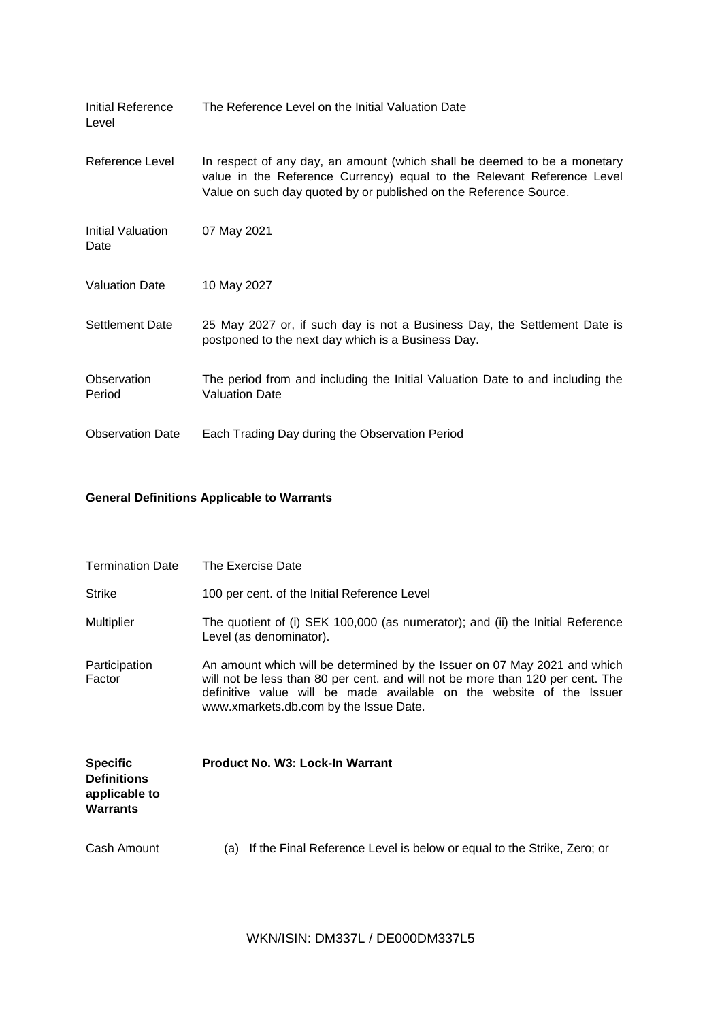| Initial Reference<br>Level       | The Reference Level on the Initial Valuation Date                                                                                                                                                                       |
|----------------------------------|-------------------------------------------------------------------------------------------------------------------------------------------------------------------------------------------------------------------------|
| Reference Level                  | In respect of any day, an amount (which shall be deemed to be a monetary<br>value in the Reference Currency) equal to the Relevant Reference Level<br>Value on such day quoted by or published on the Reference Source. |
| <b>Initial Valuation</b><br>Date | 07 May 2021                                                                                                                                                                                                             |
| <b>Valuation Date</b>            | 10 May 2027                                                                                                                                                                                                             |
| <b>Settlement Date</b>           | 25 May 2027 or, if such day is not a Business Day, the Settlement Date is<br>postponed to the next day which is a Business Day.                                                                                         |
| Observation<br>Period            | The period from and including the Initial Valuation Date to and including the<br><b>Valuation Date</b>                                                                                                                  |
| <b>Observation Date</b>          | Each Trading Day during the Observation Period                                                                                                                                                                          |

## **General Definitions Applicable to Warrants**

| <b>Termination Date</b>                                                   | The Exercise Date                                                                                                                                                                                                                                                             |
|---------------------------------------------------------------------------|-------------------------------------------------------------------------------------------------------------------------------------------------------------------------------------------------------------------------------------------------------------------------------|
| <b>Strike</b>                                                             | 100 per cent. of the Initial Reference Level                                                                                                                                                                                                                                  |
| <b>Multiplier</b>                                                         | The quotient of (i) SEK 100,000 (as numerator); and (ii) the Initial Reference<br>Level (as denominator).                                                                                                                                                                     |
| Participation<br>Factor                                                   | An amount which will be determined by the Issuer on 07 May 2021 and which<br>will not be less than 80 per cent. and will not be more than 120 per cent. The<br>definitive value will be made available on the website of the Issuer<br>www.xmarkets.db.com by the Issue Date. |
| <b>Specific</b><br><b>Definitions</b><br>applicable to<br><b>Warrants</b> | <b>Product No. W3: Lock-In Warrant</b>                                                                                                                                                                                                                                        |
| Cash Amount                                                               | If the Final Reference Level is below or equal to the Strike, Zero; or<br>(a)                                                                                                                                                                                                 |

WKN/ISIN: DM337L / DE000DM337L5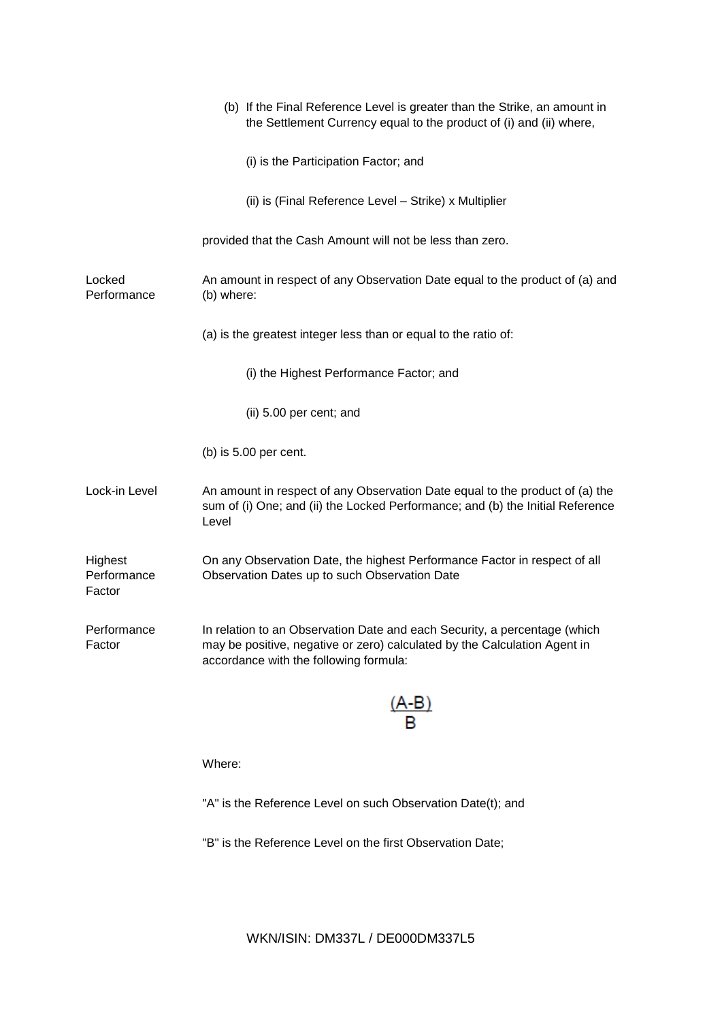|                                  | (b) If the Final Reference Level is greater than the Strike, an amount in<br>the Settlement Currency equal to the product of (i) and (ii) where,                                                 |
|----------------------------------|--------------------------------------------------------------------------------------------------------------------------------------------------------------------------------------------------|
|                                  | (i) is the Participation Factor; and                                                                                                                                                             |
|                                  | (ii) is (Final Reference Level - Strike) x Multiplier                                                                                                                                            |
|                                  | provided that the Cash Amount will not be less than zero.                                                                                                                                        |
| Locked<br>Performance            | An amount in respect of any Observation Date equal to the product of (a) and<br>(b) where:                                                                                                       |
|                                  | (a) is the greatest integer less than or equal to the ratio of:                                                                                                                                  |
|                                  | (i) the Highest Performance Factor; and                                                                                                                                                          |
|                                  | (ii) 5.00 per cent; and                                                                                                                                                                          |
|                                  | (b) is $5.00$ per cent.                                                                                                                                                                          |
| Lock-in Level                    | An amount in respect of any Observation Date equal to the product of (a) the<br>sum of (i) One; and (ii) the Locked Performance; and (b) the Initial Reference<br>Level                          |
| Highest<br>Performance<br>Factor | On any Observation Date, the highest Performance Factor in respect of all<br>Observation Dates up to such Observation Date                                                                       |
| Performance<br>Factor            | In relation to an Observation Date and each Security, a percentage (which<br>may be positive, negative or zero) calculated by the Calculation Agent in<br>accordance with the following formula: |
|                                  |                                                                                                                                                                                                  |
|                                  | Where:                                                                                                                                                                                           |
|                                  | "A" is the Reference Level on such Observation Date(t); and                                                                                                                                      |
|                                  | "B" is the Reference Level on the first Observation Date;                                                                                                                                        |

WKN/ISIN: DM337L / DE000DM337L5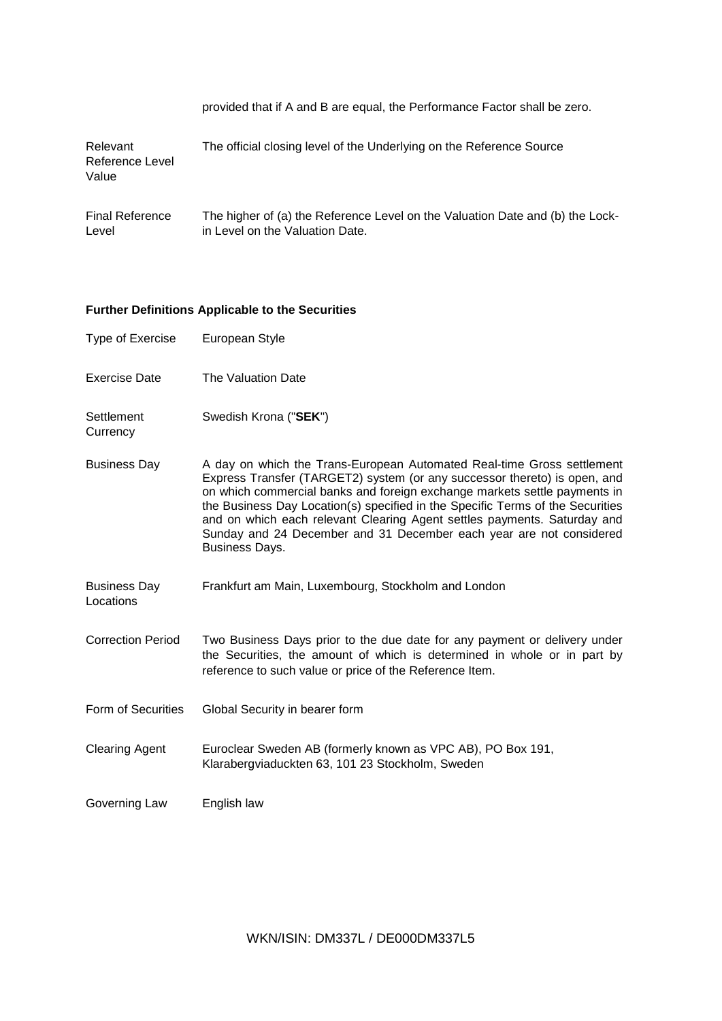|                                      | provided that if A and B are equal, the Performance Factor shall be zero.                                        |
|--------------------------------------|------------------------------------------------------------------------------------------------------------------|
| Relevant<br>Reference Level<br>Value | The official closing level of the Underlying on the Reference Source                                             |
| <b>Final Reference</b><br>Level      | The higher of (a) the Reference Level on the Valuation Date and (b) the Lock-<br>in Level on the Valuation Date. |

# **Further Definitions Applicable to the Securities**

| Type of Exercise                 | European Style                                                                                                                                                                                                                                                                                                                                                                                                                                                                                 |
|----------------------------------|------------------------------------------------------------------------------------------------------------------------------------------------------------------------------------------------------------------------------------------------------------------------------------------------------------------------------------------------------------------------------------------------------------------------------------------------------------------------------------------------|
| <b>Exercise Date</b>             | The Valuation Date                                                                                                                                                                                                                                                                                                                                                                                                                                                                             |
| Settlement<br>Currency           | Swedish Krona ("SEK")                                                                                                                                                                                                                                                                                                                                                                                                                                                                          |
| <b>Business Day</b>              | A day on which the Trans-European Automated Real-time Gross settlement<br>Express Transfer (TARGET2) system (or any successor thereto) is open, and<br>on which commercial banks and foreign exchange markets settle payments in<br>the Business Day Location(s) specified in the Specific Terms of the Securities<br>and on which each relevant Clearing Agent settles payments. Saturday and<br>Sunday and 24 December and 31 December each year are not considered<br><b>Business Days.</b> |
| <b>Business Day</b><br>Locations | Frankfurt am Main, Luxembourg, Stockholm and London                                                                                                                                                                                                                                                                                                                                                                                                                                            |
| <b>Correction Period</b>         | Two Business Days prior to the due date for any payment or delivery under<br>the Securities, the amount of which is determined in whole or in part by<br>reference to such value or price of the Reference Item.                                                                                                                                                                                                                                                                               |
| Form of Securities               | Global Security in bearer form                                                                                                                                                                                                                                                                                                                                                                                                                                                                 |
| <b>Clearing Agent</b>            | Euroclear Sweden AB (formerly known as VPC AB), PO Box 191,<br>Klarabergviaduckten 63, 101 23 Stockholm, Sweden                                                                                                                                                                                                                                                                                                                                                                                |
| Governing Law                    | English law                                                                                                                                                                                                                                                                                                                                                                                                                                                                                    |

WKN/ISIN: DM337L / DE000DM337L5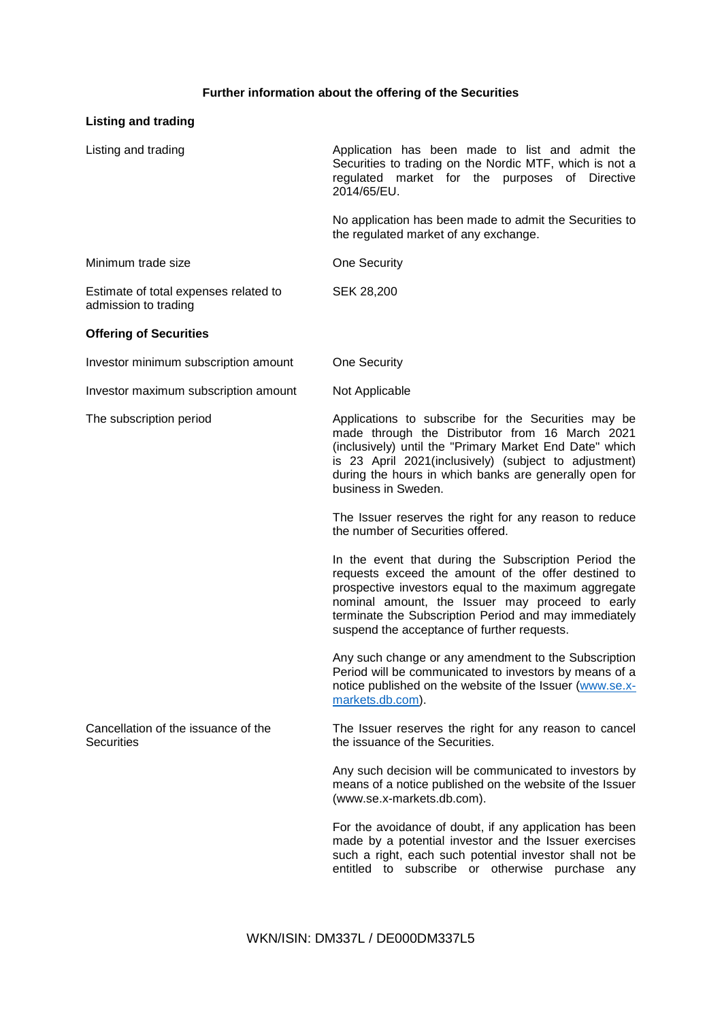# **Further information about the offering of the Securities**

# **Listing and trading**

| Listing and trading                                           | Application has been made to list and admit the<br>Securities to trading on the Nordic MTF, which is not a<br>regulated market for the purposes of Directive<br>2014/65/EU.                                                                                                                                                    |
|---------------------------------------------------------------|--------------------------------------------------------------------------------------------------------------------------------------------------------------------------------------------------------------------------------------------------------------------------------------------------------------------------------|
|                                                               | No application has been made to admit the Securities to<br>the regulated market of any exchange.                                                                                                                                                                                                                               |
| Minimum trade size                                            | One Security                                                                                                                                                                                                                                                                                                                   |
| Estimate of total expenses related to<br>admission to trading | SEK 28,200                                                                                                                                                                                                                                                                                                                     |
| <b>Offering of Securities</b>                                 |                                                                                                                                                                                                                                                                                                                                |
| Investor minimum subscription amount                          | One Security                                                                                                                                                                                                                                                                                                                   |
| Investor maximum subscription amount                          | Not Applicable                                                                                                                                                                                                                                                                                                                 |
| The subscription period                                       | Applications to subscribe for the Securities may be<br>made through the Distributor from 16 March 2021<br>(inclusively) until the "Primary Market End Date" which<br>is 23 April 2021(inclusively) (subject to adjustment)<br>during the hours in which banks are generally open for<br>business in Sweden.                    |
|                                                               | The Issuer reserves the right for any reason to reduce<br>the number of Securities offered.                                                                                                                                                                                                                                    |
|                                                               | In the event that during the Subscription Period the<br>requests exceed the amount of the offer destined to<br>prospective investors equal to the maximum aggregate<br>nominal amount, the Issuer may proceed to early<br>terminate the Subscription Period and may immediately<br>suspend the acceptance of further requests. |
|                                                               | Any such change or any amendment to the Subscription<br>Period will be communicated to investors by means of a<br>notice published on the website of the Issuer (www.se.x-<br>markets.db.com).                                                                                                                                 |
| Cancellation of the issuance of the<br><b>Securities</b>      | The Issuer reserves the right for any reason to cancel<br>the issuance of the Securities.                                                                                                                                                                                                                                      |
|                                                               | Any such decision will be communicated to investors by<br>means of a notice published on the website of the Issuer<br>(www.se.x-markets.db.com).                                                                                                                                                                               |
|                                                               | For the avoidance of doubt, if any application has been<br>made by a potential investor and the Issuer exercises<br>such a right, each such potential investor shall not be<br>entitled to subscribe or otherwise purchase any                                                                                                 |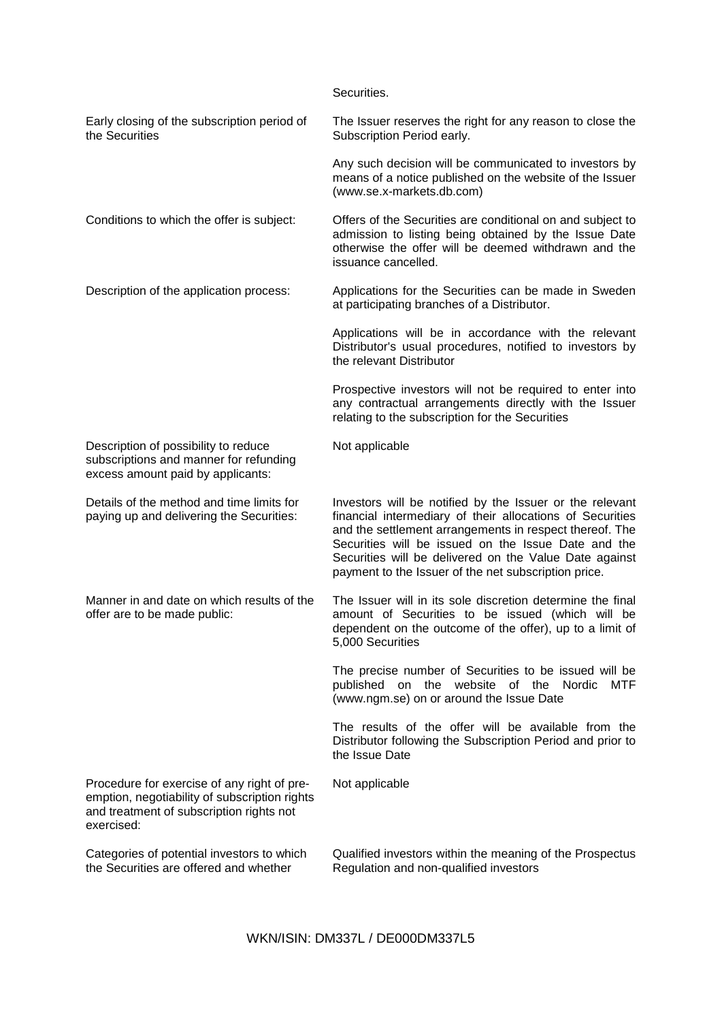|                                                                                                                                                        | Securities.                                                                                                                                                                                                                                                                                                                                               |
|--------------------------------------------------------------------------------------------------------------------------------------------------------|-----------------------------------------------------------------------------------------------------------------------------------------------------------------------------------------------------------------------------------------------------------------------------------------------------------------------------------------------------------|
| Early closing of the subscription period of<br>the Securities                                                                                          | The Issuer reserves the right for any reason to close the<br>Subscription Period early.                                                                                                                                                                                                                                                                   |
|                                                                                                                                                        | Any such decision will be communicated to investors by<br>means of a notice published on the website of the Issuer<br>(www.se.x-markets.db.com)                                                                                                                                                                                                           |
| Conditions to which the offer is subject:                                                                                                              | Offers of the Securities are conditional on and subject to<br>admission to listing being obtained by the Issue Date<br>otherwise the offer will be deemed withdrawn and the<br>issuance cancelled.                                                                                                                                                        |
| Description of the application process:                                                                                                                | Applications for the Securities can be made in Sweden<br>at participating branches of a Distributor.                                                                                                                                                                                                                                                      |
|                                                                                                                                                        | Applications will be in accordance with the relevant<br>Distributor's usual procedures, notified to investors by<br>the relevant Distributor                                                                                                                                                                                                              |
|                                                                                                                                                        | Prospective investors will not be required to enter into<br>any contractual arrangements directly with the Issuer<br>relating to the subscription for the Securities                                                                                                                                                                                      |
| Description of possibility to reduce<br>subscriptions and manner for refunding<br>excess amount paid by applicants:                                    | Not applicable                                                                                                                                                                                                                                                                                                                                            |
| Details of the method and time limits for<br>paying up and delivering the Securities:                                                                  | Investors will be notified by the Issuer or the relevant<br>financial intermediary of their allocations of Securities<br>and the settlement arrangements in respect thereof. The<br>Securities will be issued on the Issue Date and the<br>Securities will be delivered on the Value Date against<br>payment to the Issuer of the net subscription price. |
| Manner in and date on which results of the<br>offer are to be made public:                                                                             | The Issuer will in its sole discretion determine the final<br>amount of Securities to be issued (which will be<br>dependent on the outcome of the offer), up to a limit of<br>5,000 Securities                                                                                                                                                            |
|                                                                                                                                                        | The precise number of Securities to be issued will be<br>MTF<br>published on the website of the Nordic<br>(www.ngm.se) on or around the Issue Date                                                                                                                                                                                                        |
|                                                                                                                                                        | The results of the offer will be available from the<br>Distributor following the Subscription Period and prior to<br>the Issue Date                                                                                                                                                                                                                       |
| Procedure for exercise of any right of pre-<br>emption, negotiability of subscription rights<br>and treatment of subscription rights not<br>exercised: | Not applicable                                                                                                                                                                                                                                                                                                                                            |
| Categories of potential investors to which<br>the Securities are offered and whether                                                                   | Qualified investors within the meaning of the Prospectus<br>Regulation and non-qualified investors                                                                                                                                                                                                                                                        |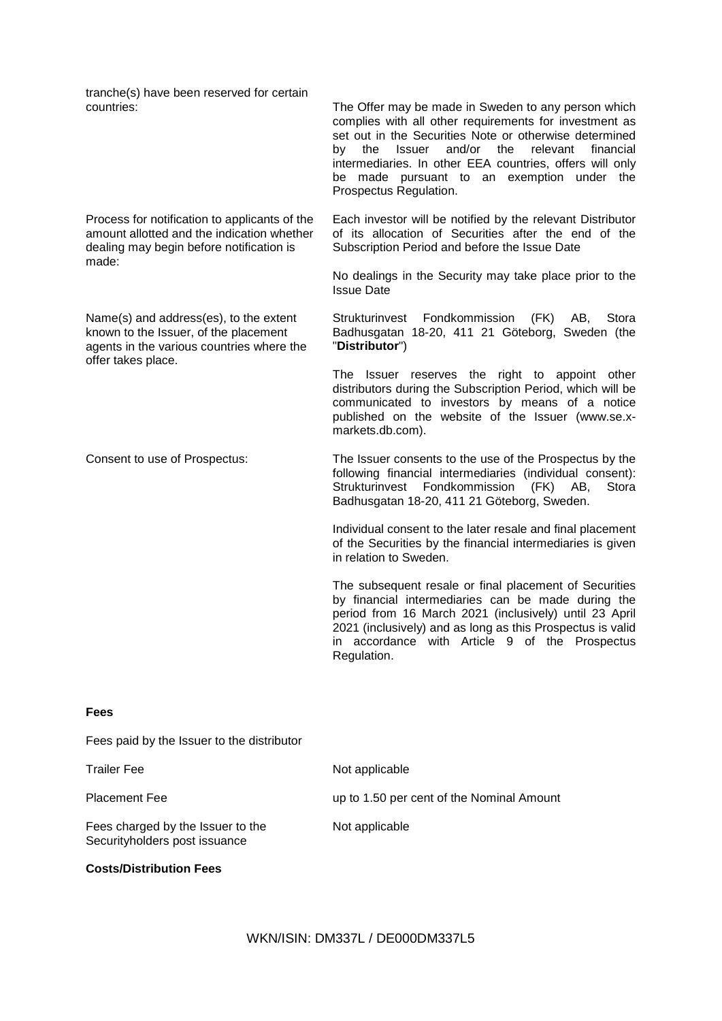tranche(s) have been reserved for certain

Process for notification to applicants of the amount allotted and the indication whether dealing may begin before notification is made:

Name(s) and address(es), to the extent known to the Issuer, of the placement agents in the various countries where the offer takes place.

The Offer may be made in Sweden to any person which complies with all other requirements for investment as set out in the Securities Note or otherwise determined by the Issuer and/or the relevant financial intermediaries. In other EEA countries, offers will only be made pursuant to an exemption under the Prospectus Regulation.

Each investor will be notified by the relevant Distributor of its allocation of Securities after the end of the Subscription Period and before the Issue Date

No dealings in the Security may take place prior to the Issue Date

Strukturinvest Fondkommission (FK) AB, Stora Badhusgatan 18-20, 411 21 Göteborg, Sweden (the "**Distributor**")

The Issuer reserves the right to appoint other distributors during the Subscription Period, which will be communicated to investors by means of a notice published on the website of the Issuer (www.se.xmarkets.db.com).

Consent to use of Prospectus: The Issuer consents to the use of the Prospectus by the following financial intermediaries (individual consent): Strukturinvest Fondkommission (FK) AB, Stora Badhusgatan 18-20, 411 21 Göteborg, Sweden.

> Individual consent to the later resale and final placement of the Securities by the financial intermediaries is given in relation to Sweden.

> The subsequent resale or final placement of Securities by financial intermediaries can be made during the period from 16 March 2021 (inclusively) until 23 April 2021 (inclusively) and as long as this Prospectus is valid in accordance with Article 9 of the Prospectus Regulation.

## **Fees**

Fees paid by the Issuer to the distributor

| <b>Trailer Fee</b>                                                 | Not applicable                            |
|--------------------------------------------------------------------|-------------------------------------------|
| <b>Placement Fee</b>                                               | up to 1.50 per cent of the Nominal Amount |
| Fees charged by the Issuer to the<br>Securityholders post issuance | Not applicable                            |

## **Costs/Distribution Fees**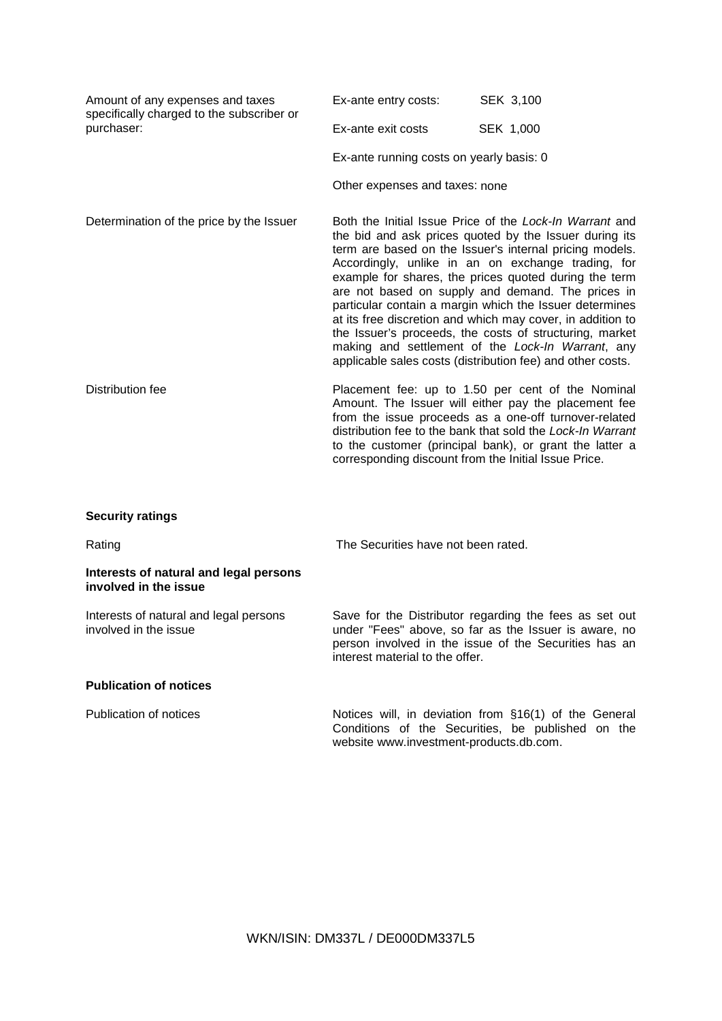| Amount of any expenses and taxes<br>specifically charged to the subscriber or | Ex-ante entry costs:                                 | SEK 3,100                                                                                                                                                                                                                                                                                                                                                                                                                                                                                                                                                                                                                                               |
|-------------------------------------------------------------------------------|------------------------------------------------------|---------------------------------------------------------------------------------------------------------------------------------------------------------------------------------------------------------------------------------------------------------------------------------------------------------------------------------------------------------------------------------------------------------------------------------------------------------------------------------------------------------------------------------------------------------------------------------------------------------------------------------------------------------|
| purchaser:                                                                    | Ex-ante exit costs                                   | SEK 1,000                                                                                                                                                                                                                                                                                                                                                                                                                                                                                                                                                                                                                                               |
|                                                                               | Ex-ante running costs on yearly basis: 0             |                                                                                                                                                                                                                                                                                                                                                                                                                                                                                                                                                                                                                                                         |
|                                                                               | Other expenses and taxes: none                       |                                                                                                                                                                                                                                                                                                                                                                                                                                                                                                                                                                                                                                                         |
| Determination of the price by the Issuer                                      |                                                      | Both the Initial Issue Price of the Lock-In Warrant and<br>the bid and ask prices quoted by the Issuer during its<br>term are based on the Issuer's internal pricing models.<br>Accordingly, unlike in an on exchange trading, for<br>example for shares, the prices quoted during the term<br>are not based on supply and demand. The prices in<br>particular contain a margin which the Issuer determines<br>at its free discretion and which may cover, in addition to<br>the Issuer's proceeds, the costs of structuring, market<br>making and settlement of the Lock-In Warrant, any<br>applicable sales costs (distribution fee) and other costs. |
| Distribution fee                                                              | corresponding discount from the Initial Issue Price. | Placement fee: up to 1.50 per cent of the Nominal<br>Amount. The Issuer will either pay the placement fee<br>from the issue proceeds as a one-off turnover-related<br>distribution fee to the bank that sold the Lock-In Warrant<br>to the customer (principal bank), or grant the latter a                                                                                                                                                                                                                                                                                                                                                             |

## **Security ratings**

Rating Rating Rating Rating Rating Rating Rating Rating Rating Rating Rating Rating Rating Rating Rating Rating Rating Rating Rating Rating Rating Rating Rating Rating Rating Rating Rating Rating Rating Rating Rating Ratin

## **Interests of natural and legal persons involved in the issue**

Interests of natural and legal persons involved in the issue

Save for the Distributor regarding the fees as set out under "Fees" above, so far as the Issuer is aware, no person involved in the issue of the Securities has an interest material to the offer.

## **Publication of notices**

Publication of notices **Notices** Notices will, in deviation from §16(1) of the General Conditions of the Securities, be published on the website www.investment-products.db.com.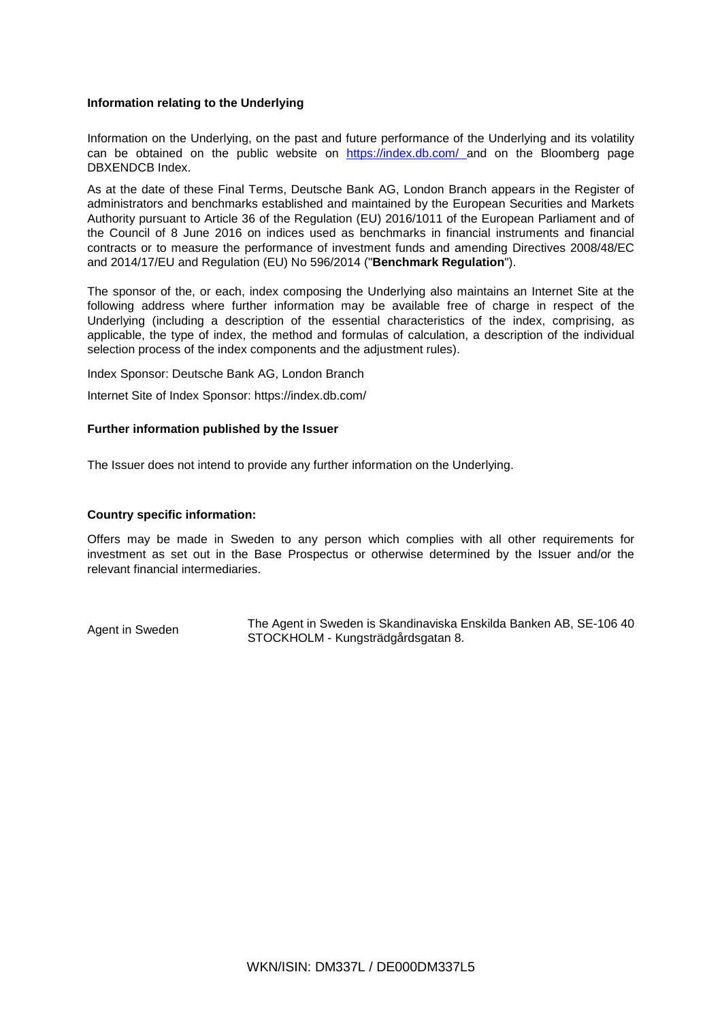### **Information relating to the Underlying**

Information on the Underlying, on the past and future performance of the Underlying and its volatility can be obtained on the public website on https://index.db.com/ and on the Bloomberg page DBXENDCB Index.

As at the date of these Final Terms, Deutsche Bank AG, London Branch appears in the Register of administrators and benchmarks established and maintained by the European Securities and Markets Authority pursuant to Article 36 of the Regulation (EU) 2016/1011 of the European Parliament and of the Council of 8 June 2016 on indices used as benchmarks in financial instruments and financial contracts or to measure the performance of investment funds and amending Directives 2008/48/EC and 2014/17/EU and Regulation (EU) No 596/2014 ("**Benchmark Regulation**").

The sponsor of the, or each, index composing the Underlying also maintains an Internet Site at the following address where further information may be available free of charge in respect of the Underlying (including a description of the essential characteristics of the index, comprising, as applicable, the type of index, the method and formulas of calculation, a description of the individual selection process of the index components and the adjustment rules).

Index Sponsor: Deutsche Bank AG, London Branch

Internet Site of Index Sponsor: https://index.db.com/

### **Further information published by the Issuer**

The Issuer does not intend to provide any further information on the Underlying.

### **Country specific information:**

Offers may be made in Sweden to any person which complies with all other requirements for investment as set out in the Base Prospectus or otherwise determined by the Issuer and/or the relevant financial intermediaries.

Agent in Sweden The Agent in Sweden is Skandinaviska Enskilda Banken AB, SE-106 40 STOCKHOLM - Kungsträdgårdsgatan 8.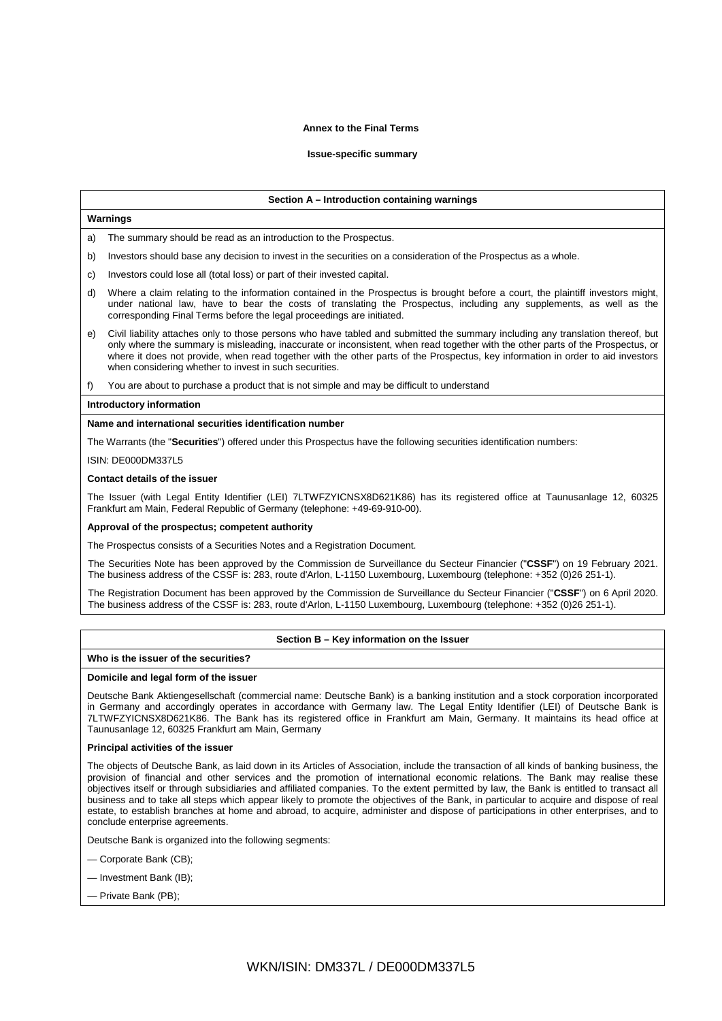#### **Annex to the Final Terms**

#### **Issue-specific summary**

#### **Section A – Introduction containing warnings**

#### **Warnings**

a) The summary should be read as an introduction to the Prospectus.

- b) Investors should base any decision to invest in the securities on a consideration of the Prospectus as a whole.
- c) Investors could lose all (total loss) or part of their invested capital.
- d) Where a claim relating to the information contained in the Prospectus is brought before a court, the plaintiff investors might, under national law, have to bear the costs of translating the Prospectus, including any supplements, as well as the corresponding Final Terms before the legal proceedings are initiated.
- e) Civil liability attaches only to those persons who have tabled and submitted the summary including any translation thereof, but only where the summary is misleading, inaccurate or inconsistent, when read together with the other parts of the Prospectus, or where it does not provide, when read together with the other parts of the Prospectus, key information in order to aid investors when considering whether to invest in such securities.
- f) You are about to purchase a product that is not simple and may be difficult to understand

#### **Introductory information**

#### **Name and international securities identification number**

The Warrants (the "**Securities**") offered under this Prospectus have the following securities identification numbers:

#### ISIN: DE000DM337L5

#### **Contact details of the issuer**

The Issuer (with Legal Entity Identifier (LEI) 7LTWFZYICNSX8D621K86) has its registered office at Taunusanlage 12, 60325 Frankfurt am Main, Federal Republic of Germany (telephone: +49-69-910-00).

#### **Approval of the prospectus; competent authority**

The Prospectus consists of a Securities Notes and a Registration Document.

The Securities Note has been approved by the Commission de Surveillance du Secteur Financier ("**CSSF**") on 19 February 2021. The business address of the CSSF is: 283, route d'Arlon, L-1150 Luxembourg, Luxembourg (telephone: +352 (0)26 251-1).

The Registration Document has been approved by the Commission de Surveillance du Secteur Financier ("**CSSF**") on 6 April 2020. The business address of the CSSF is: 283, route d'Arlon, L-1150 Luxembourg, Luxembourg (telephone: +352 (0)26 251-1).

#### **Section B – Key information on the Issuer**

### **Who is the issuer of the securities?**

#### **Domicile and legal form of the issuer**

Deutsche Bank Aktiengesellschaft (commercial name: Deutsche Bank) is a banking institution and a stock corporation incorporated in Germany and accordingly operates in accordance with Germany law. The Legal Entity Identifier (LEI) of Deutsche Bank is 7LTWFZYICNSX8D621K86. The Bank has its registered office in Frankfurt am Main, Germany. It maintains its head office at Taunusanlage 12, 60325 Frankfurt am Main, Germany

#### **Principal activities of the issuer**

The objects of Deutsche Bank, as laid down in its Articles of Association, include the transaction of all kinds of banking business, the provision of financial and other services and the promotion of international economic relations. The Bank may realise these objectives itself or through subsidiaries and affiliated companies. To the extent permitted by law, the Bank is entitled to transact all business and to take all steps which appear likely to promote the objectives of the Bank, in particular to acquire and dispose of real estate, to establish branches at home and abroad, to acquire, administer and dispose of participations in other enterprises, and to conclude enterprise agreements.

Deutsche Bank is organized into the following segments:

- Corporate Bank (CB);
- Investment Bank (IB);
- Private Bank (PB);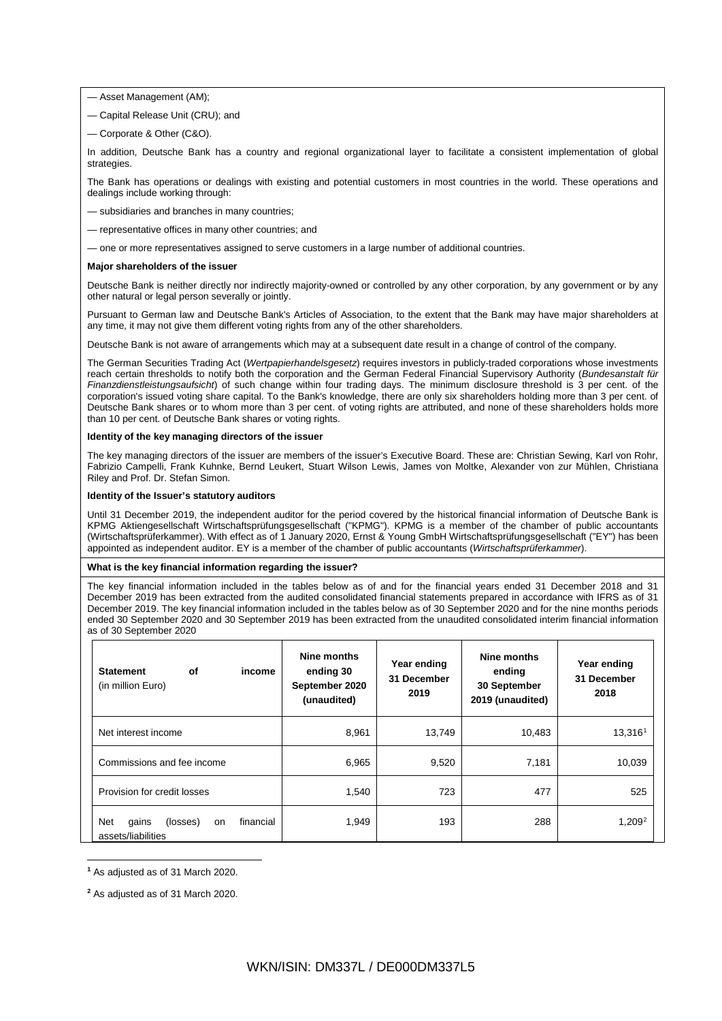- Asset Management (AM);
- Capital Release Unit (CRU); and
- Corporate & Other (C&O).

In addition, Deutsche Bank has a country and regional organizational layer to facilitate a consistent implementation of global strategies.

The Bank has operations or dealings with existing and potential customers in most countries in the world. These operations and dealings include working through:

- subsidiaries and branches in many countries;
- representative offices in many other countries; and
- one or more representatives assigned to serve customers in a large number of additional countries.

#### **Major shareholders of the issuer**

Deutsche Bank is neither directly nor indirectly majority-owned or controlled by any other corporation, by any government or by any other natural or legal person severally or jointly.

Pursuant to German law and Deutsche Bank's Articles of Association, to the extent that the Bank may have major shareholders at any time, it may not give them different voting rights from any of the other shareholders.

Deutsche Bank is not aware of arrangements which may at a subsequent date result in a change of control of the company.

The German Securities Trading Act (*Wertpapierhandelsgesetz*) requires investors in publicly-traded corporations whose investments reach certain thresholds to notify both the corporation and the German Federal Financial Supervisory Authority (*Bundesanstalt für Finanzdienstleistungsaufsicht*) of such change within four trading days. The minimum disclosure threshold is 3 per cent. of the corporation's issued voting share capital. To the Bank's knowledge, there are only six shareholders holding more than 3 per cent. of Deutsche Bank shares or to whom more than 3 per cent. of voting rights are attributed, and none of these shareholders holds more than 10 per cent. of Deutsche Bank shares or voting rights.

### **Identity of the key managing directors of the issuer**

The key managing directors of the issuer are members of the issuer's Executive Board. These are: Christian Sewing, Karl von Rohr, Fabrizio Campelli, Frank Kuhnke, Bernd Leukert, Stuart Wilson Lewis, James von Moltke, Alexander von zur Mühlen, Christiana Riley and Prof. Dr. Stefan Simon.

#### **Identity of the Issuer's statutory auditors**

Until 31 December 2019, the independent auditor for the period covered by the historical financial information of Deutsche Bank is KPMG Aktiengesellschaft Wirtschaftsprüfungsgesellschaft ("KPMG"). KPMG is a member of the chamber of public accountants (Wirtschaftsprüferkammer). With effect as of 1 January 2020, Ernst & Young GmbH Wirtschaftsprüfungsgesellschaft ("EY") has been appointed as independent auditor. EY is a member of the chamber of public accountants (*Wirtschaftsprüferkammer*).

#### **What is the key financial information regarding the issuer?**

The key financial information included in the tables below as of and for the financial years ended 31 December 2018 and 31 December 2019 has been extracted from the audited consolidated financial statements prepared in accordance with IFRS as of 31 December 2019. The key financial information included in the tables below as of 30 September 2020 and for the nine months periods ended 30 September 2020 and 30 September 2019 has been extracted from the unaudited consolidated interim financial information as of 30 September 2020

| of<br><b>Statement</b><br>(in million Euro)          | income    | Nine months<br>ending 30<br>September 2020<br>(unaudited) | Year ending<br>31 December<br>2019 | Nine months<br>ending<br>30 September<br>2019 (unaudited) | Year ending<br>31 December<br>2018 |
|------------------------------------------------------|-----------|-----------------------------------------------------------|------------------------------------|-----------------------------------------------------------|------------------------------------|
| Net interest income                                  |           | 8,961                                                     | 13,749                             | 10,483                                                    | 13,3161                            |
| Commissions and fee income                           |           | 6,965                                                     | 9,520                              | 7,181                                                     | 10,039                             |
| Provision for credit losses                          |           | 1,540                                                     | 723                                | 477                                                       | 525                                |
| Net<br>gains<br>(losses)<br>on<br>assets/liabilities | financial | 1,949                                                     | 193                                | 288                                                       | $1,209^2$                          |

<span id="page-13-0"></span>**<sup>1</sup>** As adjusted as of 31 March 2020.

**.** 

<span id="page-13-1"></span>**<sup>2</sup>** As adjusted as of 31 March 2020.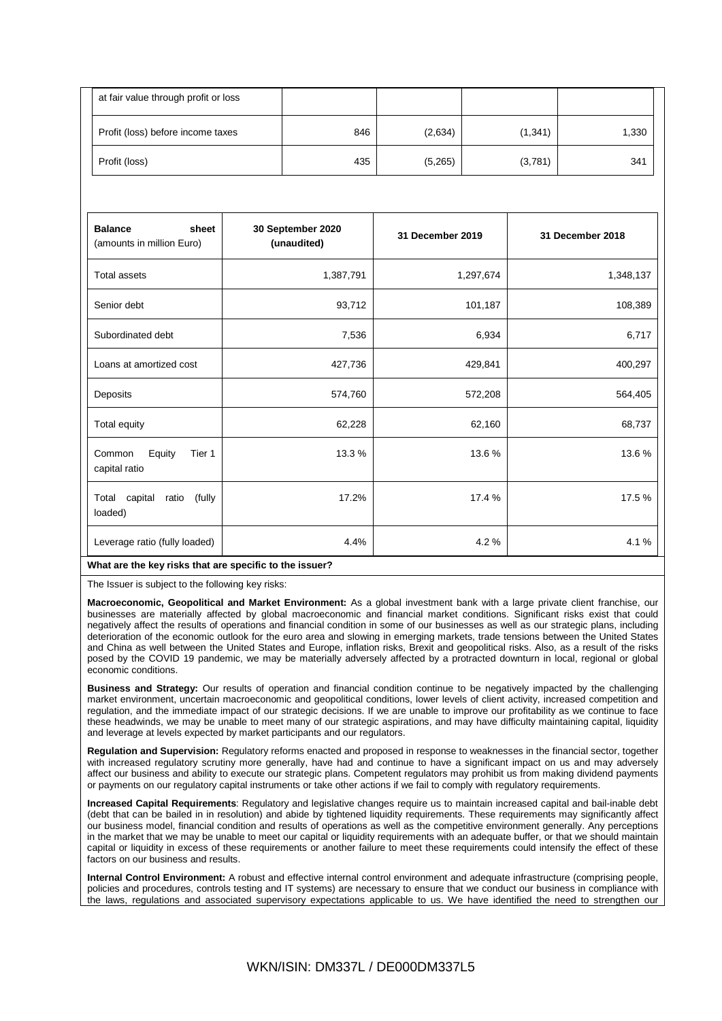| at fair value through profit or loss |     |         |          |       |
|--------------------------------------|-----|---------|----------|-------|
| Profit (loss) before income taxes    | 846 | (2,634) | (1, 341) | 1,330 |
| Profit (loss)                        | 435 | (5,265) | (3,781)  | 341   |

| 1,387,791 | 1,297,674                                               | 1,348,137 |
|-----------|---------------------------------------------------------|-----------|
| 93,712    | 101,187                                                 | 108,389   |
| 7,536     | 6,934                                                   | 6,717     |
| 427,736   | 429,841                                                 | 400,297   |
| 574,760   | 572,208                                                 | 564,405   |
| 62,228    | 62,160                                                  | 68,737    |
| 13.3 %    | 13.6%                                                   | 13.6%     |
| 17.2%     | 17.4 %                                                  | 17.5 %    |
| 4.4%      | 4.2%                                                    | 4.1%      |
|           | What are the key risks that are specific to the issuer? |           |

The Issuer is subject to the following key risks:

**Macroeconomic, Geopolitical and Market Environment:** As a global investment bank with a large private client franchise, our businesses are materially affected by global macroeconomic and financial market conditions. Significant risks exist that could negatively affect the results of operations and financial condition in some of our businesses as well as our strategic plans, including deterioration of the economic outlook for the euro area and slowing in emerging markets, trade tensions between the United States and China as well between the United States and Europe, inflation risks, Brexit and geopolitical risks. Also, as a result of the risks posed by the COVID 19 pandemic, we may be materially adversely affected by a protracted downturn in local, regional or global economic conditions.

**Business and Strategy:** Our results of operation and financial condition continue to be negatively impacted by the challenging market environment, uncertain macroeconomic and geopolitical conditions, lower levels of client activity, increased competition and regulation, and the immediate impact of our strategic decisions. If we are unable to improve our profitability as we continue to face these headwinds, we may be unable to meet many of our strategic aspirations, and may have difficulty maintaining capital, liquidity and leverage at levels expected by market participants and our regulators.

**Regulation and Supervision:** Regulatory reforms enacted and proposed in response to weaknesses in the financial sector, together with increased regulatory scrutiny more generally, have had and continue to have a significant impact on us and may adversely affect our business and ability to execute our strategic plans. Competent regulators may prohibit us from making dividend payments or payments on our regulatory capital instruments or take other actions if we fail to comply with regulatory requirements.

**Increased Capital Requirements**: Regulatory and legislative changes require us to maintain increased capital and bail-inable debt (debt that can be bailed in in resolution) and abide by tightened liquidity requirements. These requirements may significantly affect our business model, financial condition and results of operations as well as the competitive environment generally. Any perceptions in the market that we may be unable to meet our capital or liquidity requirements with an adequate buffer, or that we should maintain capital or liquidity in excess of these requirements or another failure to meet these requirements could intensify the effect of these factors on our business and results.

**Internal Control Environment:** A robust and effective internal control environment and adequate infrastructure (comprising people, policies and procedures, controls testing and IT systems) are necessary to ensure that we conduct our business in compliance with the laws, regulations and associated supervisory expectations applicable to us. We have identified the need to strengthen our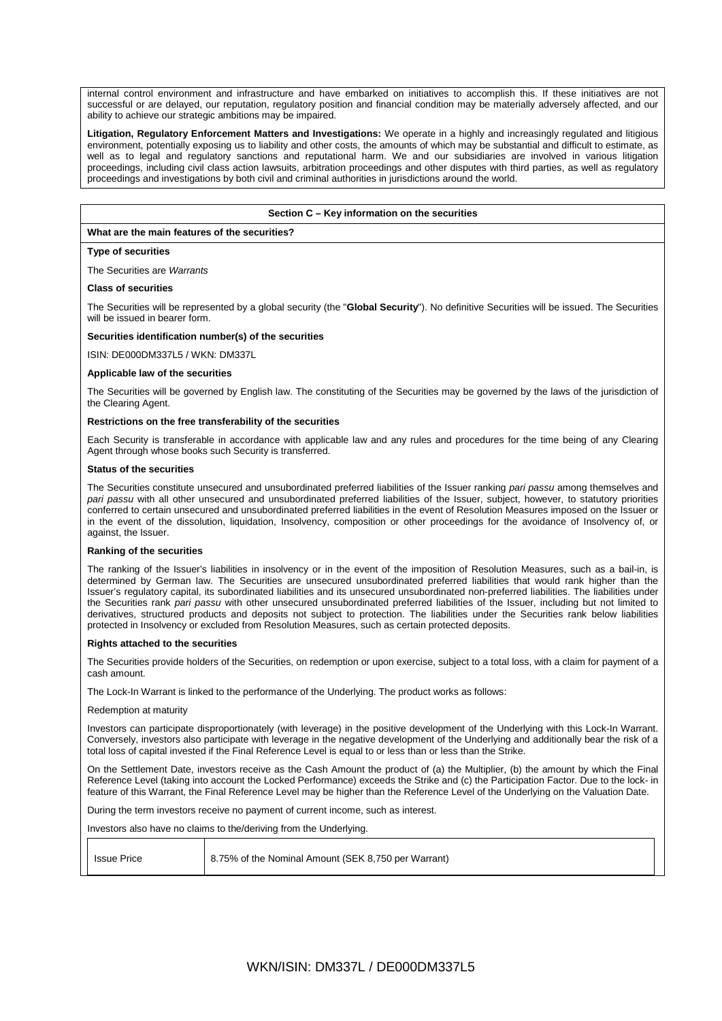internal control environment and infrastructure and have embarked on initiatives to accomplish this. If these initiatives are not successful or are delayed, our reputation, regulatory position and financial condition may be materially adversely affected, and our ability to achieve our strategic ambitions may be impaired.

**Litigation, Regulatory Enforcement Matters and Investigations:** We operate in a highly and increasingly regulated and litigious environment, potentially exposing us to liability and other costs, the amounts of which may be substantial and difficult to estimate, as well as to legal and regulatory sanctions and reputational harm. We and our subsidiaries are involved in various litigation proceedings, including civil class action lawsuits, arbitration proceedings and other disputes with third parties, as well as regulatory proceedings and investigations by both civil and criminal authorities in jurisdictions around the world.

#### **Section C – Key information on the securities**

#### **What are the main features of the securities?**

### **Type of securities**

The Securities are *Warrants*

#### **Class of securities**

The Securities will be represented by a global security (the "**Global Security**"). No definitive Securities will be issued. The Securities will be issued in bearer form.

#### **Securities identification number(s) of the securities**

ISIN: DE000DM337L5 / WKN: DM337L

#### **Applicable law of the securities**

The Securities will be governed by English law. The constituting of the Securities may be governed by the laws of the jurisdiction of the Clearing Agent.

#### **Restrictions on the free transferability of the securities**

Each Security is transferable in accordance with applicable law and any rules and procedures for the time being of any Clearing Agent through whose books such Security is transferred.

#### **Status of the securities**

The Securities constitute unsecured and unsubordinated preferred liabilities of the Issuer ranking *pari passu* among themselves and *pari passu* with all other unsecured and unsubordinated preferred liabilities of the Issuer, subject, however, to statutory priorities conferred to certain unsecured and unsubordinated preferred liabilities in the event of Resolution Measures imposed on the Issuer or in the event of the dissolution, liquidation, Insolvency, composition or other proceedings for the avoidance of Insolvency of, or against, the Issuer.

#### **Ranking of the securities**

The ranking of the Issuer's liabilities in insolvency or in the event of the imposition of Resolution Measures, such as a bail-in, is determined by German law. The Securities are unsecured unsubordinated preferred liabilities that would rank higher than the Issuer's regulatory capital, its subordinated liabilities and its unsecured unsubordinated non-preferred liabilities. The liabilities under the Securities rank *pari passu* with other unsecured unsubordinated preferred liabilities of the Issuer, including but not limited to derivatives, structured products and deposits not subject to protection. The liabilities under the Securities rank below liabilities protected in Insolvency or excluded from Resolution Measures, such as certain protected deposits.

#### **Rights attached to the securities**

The Securities provide holders of the Securities, on redemption or upon exercise, subject to a total loss, with a claim for payment of a cash amount.

The Lock-In Warrant is linked to the performance of the Underlying. The product works as follows:

#### Redemption at maturity

Investors can participate disproportionately (with leverage) in the positive development of the Underlying with this Lock-In Warrant. Conversely, investors also participate with leverage in the negative development of the Underlying and additionally bear the risk of a total loss of capital invested if the Final Reference Level is equal to or less than or less than the Strike.

On the Settlement Date, investors receive as the Cash Amount the product of (a) the Multiplier, (b) the amount by which the Final Reference Level (taking into account the Locked Performance) exceeds the Strike and (c) the Participation Factor. Due to the lock- in feature of this Warrant, the Final Reference Level may be higher than the Reference Level of the Underlying on the Valuation Date.

During the term investors receive no payment of current income, such as interest.

Investors also have no claims to the/deriving from the Underlying.

| <b>Issue Price</b> | 8.75% of the Nominal Amount (SEK 8,750 per Warrant) |
|--------------------|-----------------------------------------------------|
|                    |                                                     |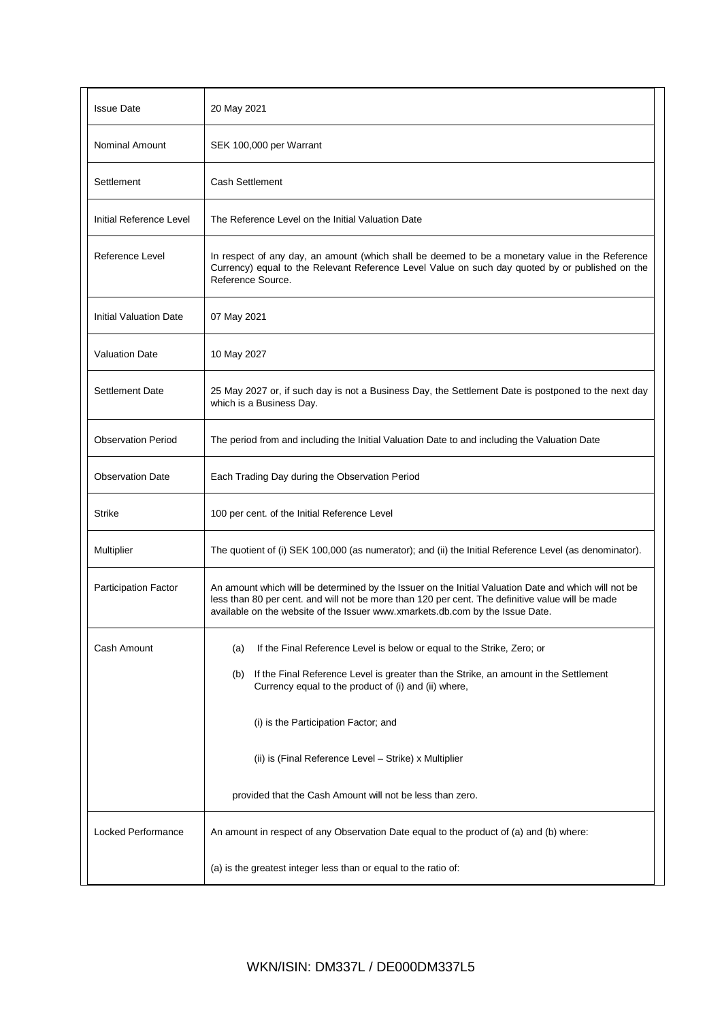| <b>Issue Date</b>         | 20 May 2021                                                                                                                                                                                                                                                                               |
|---------------------------|-------------------------------------------------------------------------------------------------------------------------------------------------------------------------------------------------------------------------------------------------------------------------------------------|
| <b>Nominal Amount</b>     | SEK 100,000 per Warrant                                                                                                                                                                                                                                                                   |
| Settlement                | <b>Cash Settlement</b>                                                                                                                                                                                                                                                                    |
| Initial Reference Level   | The Reference Level on the Initial Valuation Date                                                                                                                                                                                                                                         |
| Reference Level           | In respect of any day, an amount (which shall be deemed to be a monetary value in the Reference<br>Currency) equal to the Relevant Reference Level Value on such day quoted by or published on the<br>Reference Source.                                                                   |
| Initial Valuation Date    | 07 May 2021                                                                                                                                                                                                                                                                               |
| <b>Valuation Date</b>     | 10 May 2027                                                                                                                                                                                                                                                                               |
| <b>Settlement Date</b>    | 25 May 2027 or, if such day is not a Business Day, the Settlement Date is postponed to the next day<br>which is a Business Day.                                                                                                                                                           |
| <b>Observation Period</b> | The period from and including the Initial Valuation Date to and including the Valuation Date                                                                                                                                                                                              |
| <b>Observation Date</b>   | Each Trading Day during the Observation Period                                                                                                                                                                                                                                            |
| <b>Strike</b>             | 100 per cent. of the Initial Reference Level                                                                                                                                                                                                                                              |
| Multiplier                | The quotient of (i) SEK 100,000 (as numerator); and (ii) the Initial Reference Level (as denominator).                                                                                                                                                                                    |
| Participation Factor      | An amount which will be determined by the Issuer on the Initial Valuation Date and which will not be<br>less than 80 per cent. and will not be more than 120 per cent. The definitive value will be made<br>available on the website of the Issuer www.xmarkets.db.com by the Issue Date. |
| Cash Amount               | If the Final Reference Level is below or equal to the Strike, Zero; or<br>(a)                                                                                                                                                                                                             |
|                           | If the Final Reference Level is greater than the Strike, an amount in the Settlement<br>(b)<br>Currency equal to the product of (i) and (ii) where,                                                                                                                                       |
|                           | (i) is the Participation Factor; and                                                                                                                                                                                                                                                      |
|                           | (ii) is (Final Reference Level - Strike) x Multiplier                                                                                                                                                                                                                                     |
|                           | provided that the Cash Amount will not be less than zero.                                                                                                                                                                                                                                 |
| <b>Locked Performance</b> | An amount in respect of any Observation Date equal to the product of (a) and (b) where:                                                                                                                                                                                                   |
|                           | (a) is the greatest integer less than or equal to the ratio of:                                                                                                                                                                                                                           |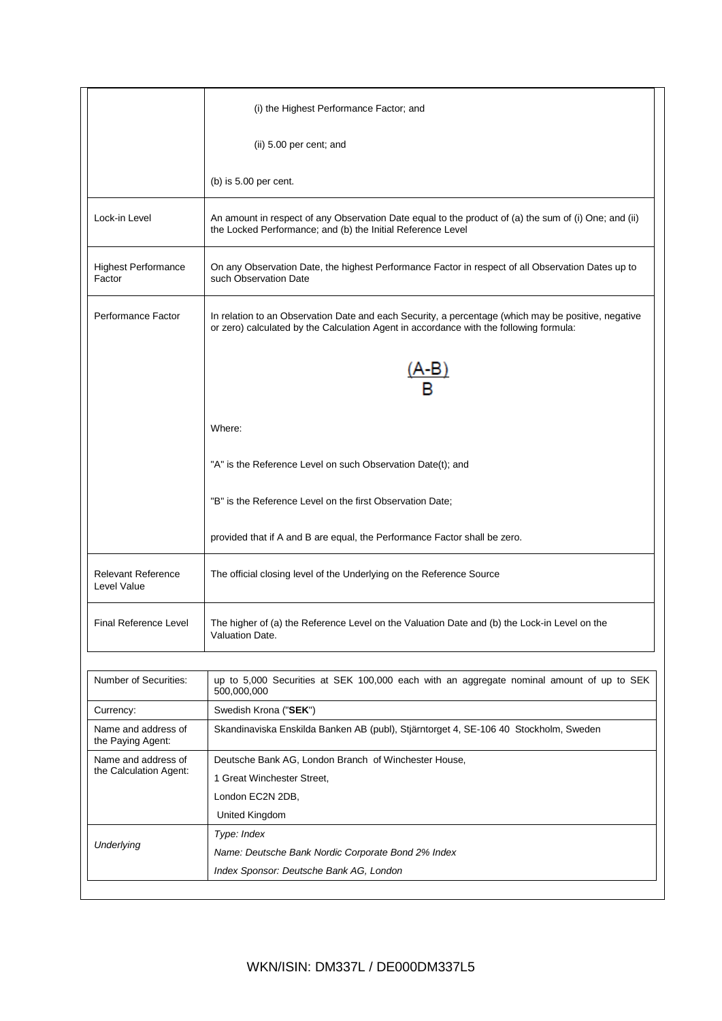|                                               | (i) the Highest Performance Factor; and                                                                                                                                                       |
|-----------------------------------------------|-----------------------------------------------------------------------------------------------------------------------------------------------------------------------------------------------|
|                                               | (ii) 5.00 per cent; and                                                                                                                                                                       |
|                                               | (b) is $5.00$ per cent.                                                                                                                                                                       |
| Lock-in Level                                 | An amount in respect of any Observation Date equal to the product of (a) the sum of (i) One; and (ii)<br>the Locked Performance; and (b) the Initial Reference Level                          |
| <b>Highest Performance</b><br>Factor          | On any Observation Date, the highest Performance Factor in respect of all Observation Dates up to<br>such Observation Date                                                                    |
| Performance Factor                            | In relation to an Observation Date and each Security, a percentage (which may be positive, negative<br>or zero) calculated by the Calculation Agent in accordance with the following formula: |
|                                               | A-B                                                                                                                                                                                           |
|                                               | Where:                                                                                                                                                                                        |
|                                               | "A" is the Reference Level on such Observation Date(t); and                                                                                                                                   |
|                                               | "B" is the Reference Level on the first Observation Date;                                                                                                                                     |
|                                               | provided that if A and B are equal, the Performance Factor shall be zero.                                                                                                                     |
| <b>Relevant Reference</b><br>Level Value      | The official closing level of the Underlying on the Reference Source                                                                                                                          |
| Final Reference Level                         | The higher of (a) the Reference Level on the Valuation Date and (b) the Lock-in Level on the<br>Valuation Date.                                                                               |
| Number of Securities:                         | up to 5,000 Securities at SEK 100,000 each with an aggregate nominal amount of up to SEK<br>500,000,000                                                                                       |
| Currency:                                     | Swedish Krona ("SEK")                                                                                                                                                                         |
| Name and address of<br>the Paying Agent:      | Skandinaviska Enskilda Banken AB (publ), Stjärntorget 4, SE-106 40 Stockholm, Sweden                                                                                                          |
| Name and address of<br>the Calculation Agent: | Deutsche Bank AG, London Branch of Winchester House,<br>1 Great Winchester Street,<br>London EC2N 2DB,<br>United Kingdom                                                                      |
| Underlying                                    | Type: Index<br>Name: Deutsche Bank Nordic Corporate Bond 2% Index<br>Index Sponsor: Deutsche Bank AG, London                                                                                  |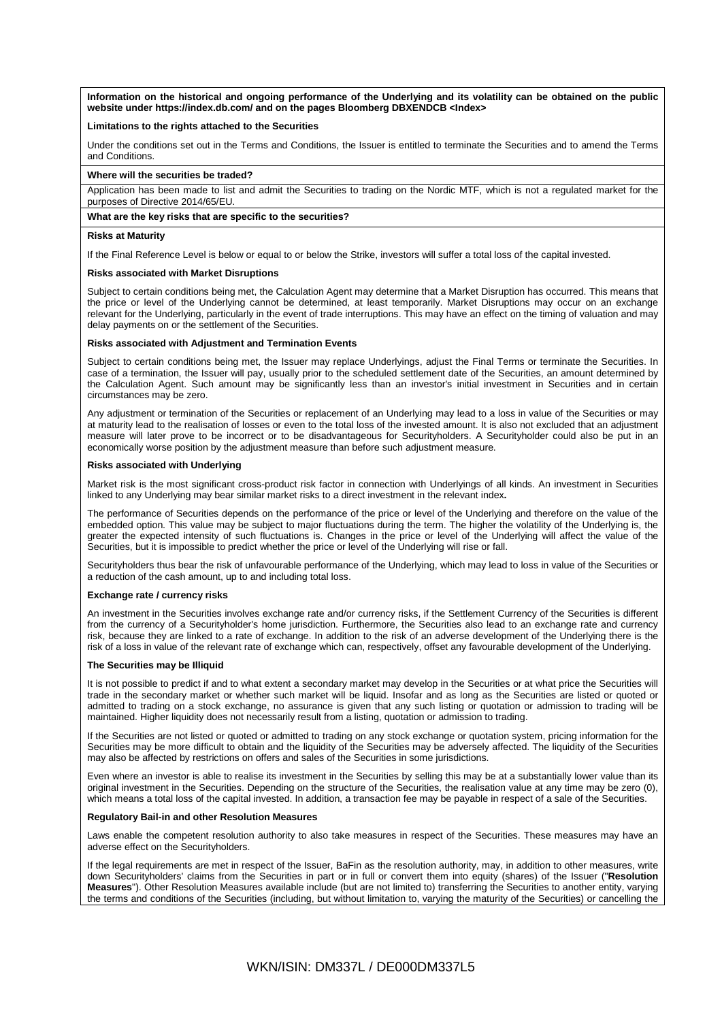**Information on the historical and ongoing performance of the Underlying and its volatility can be obtained on the public website under https://index.db.com/ and on the pages Bloomberg DBXENDCB <Index>**

### **Limitations to the rights attached to the Securities**

Under the conditions set out in the Terms and Conditions, the Issuer is entitled to terminate the Securities and to amend the Terms and Conditions.

#### **Where will the securities be traded?**

Application has been made to list and admit the Securities to trading on the Nordic MTF, which is not a regulated market for the purposes of Directive 2014/65/EU.

#### **What are the key risks that are specific to the securities?**

#### **Risks at Maturity**

If the Final Reference Level is below or equal to or below the Strike, investors will suffer a total loss of the capital invested.

### **Risks associated with Market Disruptions**

Subject to certain conditions being met, the Calculation Agent may determine that a Market Disruption has occurred. This means that the price or level of the Underlying cannot be determined, at least temporarily. Market Disruptions may occur on an exchange relevant for the Underlying, particularly in the event of trade interruptions. This may have an effect on the timing of valuation and may delay payments on or the settlement of the Securities.

#### **Risks associated with Adjustment and Termination Events**

Subject to certain conditions being met, the Issuer may replace Underlyings, adjust the Final Terms or terminate the Securities. In case of a termination, the Issuer will pay, usually prior to the scheduled settlement date of the Securities, an amount determined by the Calculation Agent. Such amount may be significantly less than an investor's initial investment in Securities and in certain circumstances may be zero.

Any adjustment or termination of the Securities or replacement of an Underlying may lead to a loss in value of the Securities or may at maturity lead to the realisation of losses or even to the total loss of the invested amount. It is also not excluded that an adjustment measure will later prove to be incorrect or to be disadvantageous for Securityholders. A Securityholder could also be put in an economically worse position by the adjustment measure than before such adjustment measure.

#### **Risks associated with Underlying**

Market risk is the most significant cross-product risk factor in connection with Underlyings of all kinds. An investment in Securities linked to any Underlying may bear similar market risks to a direct investment in the relevant index**.**

The performance of Securities depends on the performance of the price or level of the Underlying and therefore on the value of the embedded option. This value may be subject to major fluctuations during the term. The higher the volatility of the Underlying is, the greater the expected intensity of such fluctuations is. Changes in the price or level of the Underlying will affect the value of the Securities, but it is impossible to predict whether the price or level of the Underlying will rise or fall.

Securityholders thus bear the risk of unfavourable performance of the Underlying, which may lead to loss in value of the Securities or a reduction of the cash amount, up to and including total loss.

#### **Exchange rate / currency risks**

An investment in the Securities involves exchange rate and/or currency risks, if the Settlement Currency of the Securities is different from the currency of a Securityholder's home jurisdiction. Furthermore, the Securities also lead to an exchange rate and currency risk, because they are linked to a rate of exchange. In addition to the risk of an adverse development of the Underlying there is the risk of a loss in value of the relevant rate of exchange which can, respectively, offset any favourable development of the Underlying.

#### **The Securities may be Illiquid**

It is not possible to predict if and to what extent a secondary market may develop in the Securities or at what price the Securities will trade in the secondary market or whether such market will be liquid. Insofar and as long as the Securities are listed or quoted or admitted to trading on a stock exchange, no assurance is given that any such listing or quotation or admission to trading will be maintained. Higher liquidity does not necessarily result from a listing, quotation or admission to trading.

If the Securities are not listed or quoted or admitted to trading on any stock exchange or quotation system, pricing information for the Securities may be more difficult to obtain and the liquidity of the Securities may be adversely affected. The liquidity of the Securities may also be affected by restrictions on offers and sales of the Securities in some jurisdictions.

Even where an investor is able to realise its investment in the Securities by selling this may be at a substantially lower value than its original investment in the Securities. Depending on the structure of the Securities, the realisation value at any time may be zero (0), which means a total loss of the capital invested. In addition, a transaction fee may be payable in respect of a sale of the Securities.

#### **Regulatory Bail-in and other Resolution Measures**

Laws enable the competent resolution authority to also take measures in respect of the Securities. These measures may have an adverse effect on the Securityholders.

If the legal requirements are met in respect of the Issuer, BaFin as the resolution authority, may, in addition to other measures, write down Securityholders' claims from the Securities in part or in full or convert them into equity (shares) of the Issuer ("**Resolution Measures**"). Other Resolution Measures available include (but are not limited to) transferring the Securities to another entity, varying the terms and conditions of the Securities (including, but without limitation to, varying the maturity of the Securities) or cancelling the